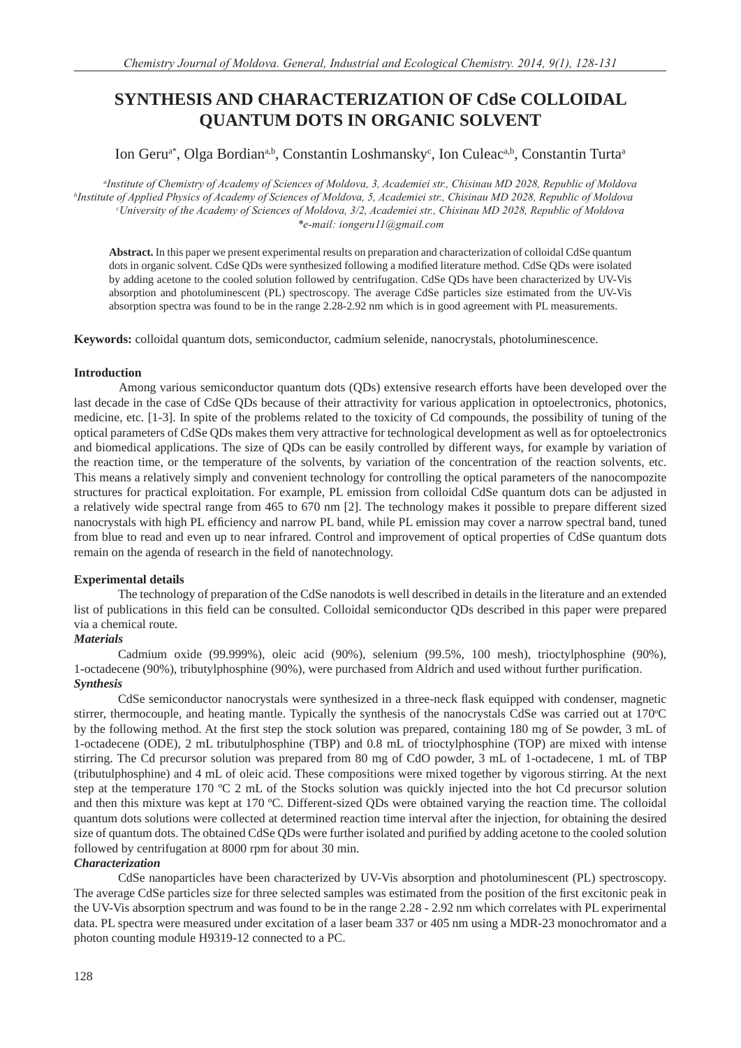# **SYNTHESIS AND CHARACTERIZATION OF CdSe COLLOIDAL QUANTUM DOTS IN ORGANIC SOLVENT**

## Ion Geru<sup>a\*</sup>, Olga Bordian<sup>a,b</sup>, Constantin Loshmansky<sup>c</sup>, Ion Culeac<sup>a,b</sup>, Constantin Turta<sup>a</sup>

*a Institute of Chemistry of Academy of Sciences of Moldova, 3, Academiei str., Chisinau MD 2028, Republic of Moldova b Institute of Applied Physics of Academy of Sciences of Moldova, 5, Academiei str., Chisinau MD 2028, Republic of Moldova c University of the Academy of Sciences of Moldova, 3/2, Academiei str., Chisinau MD 2028, Republic of Moldova \*e-mail: iongeru11@gmail.com*

**Abstract.** In this paper we present experimental results on preparation and characterization of colloidal CdSe quantum dots in organic solvent. CdSe QDs were synthesized following a modified literature method. CdSe QDs were isolated by adding acetone to the cooled solution followed by centrifugation. CdSe QDs have been characterized by UV-Vis absorption and photoluminescent (PL) spectroscopy. The average CdSe particles size estimated from the UV-Vis absorption spectra was found to be in the range 2.28-2.92 nm which is in good agreement with PL measurements.

**Keywords:** colloidal quantum dots, semiconductor, cadmium selenide, nanocrystals, photoluminescence.

### **Introduction**

Among various semiconductor quantum dots (QDs) extensive research efforts have been developed over the last decade in the case of CdSe QDs because of their attractivity for various application in optoelectronics, photonics, medicine, etc. [1-3]. In spite of the problems related to the toxicity of Cd compounds, the possibility of tuning of the optical parameters of CdSe QDs makes them very attractive for technological development as well as for optoelectronics and biomedical applications. The size of QDs can be easily controlled by different ways, for example by variation of the reaction time, or the temperature of the solvents, by variation of the concentration of the reaction solvents, etc. This means a relatively simply and convenient technology for controlling the optical parameters of the nanocompozite structures for practical exploitation. For example, PL emission from colloidal CdSe quantum dots can be adjusted in a relatively wide spectral range from 465 to 670 nm [2]. The technology makes it possible to prepare different sized nanocrystals with high PL efficiency and narrow PL band, while PL emission may cover a narrow spectral band, tuned from blue to read and even up to near infrared. Control and improvement of optical properties of CdSe quantum dots remain on the agenda of research in the field of nanotechnology.

### **Experimental details**

The technology of preparation of the CdSe nanodots is well described in details in the literature and an extended list of publications in this field can be consulted. Colloidal semiconductor ODs described in this paper were prepared via a chemical route.

### *Materials*

Cadmium oxide (99.999%), oleic acid (90%), selenium (99.5%, 100 mesh), trioctylphosphine (90%), 1-octadecene (90%), tributylphosphine (90%), were purchased from Aldrich and used without further purification. *Synthesis*

CdSe semiconductor nanocrystals were synthesized in a three-neck flask equipped with condenser, magnetic stirrer, thermocouple, and heating mantle. Typically the synthesis of the nanocrystals CdSe was carried out at 170°C by the following method. At the first step the stock solution was prepared, containing 180 mg of Se powder, 3 mL of 1-octadecene (ODE), 2 mL tributulphosphine (TBP) and 0.8 mL of trioctylphosphine (TOP) are mixed with intense stirring. The Cd precursor solution was prepared from 80 mg of CdO powder, 3 mL of 1-octadecene, 1 mL of TBP (tributulphosphine) and 4 mL of oleic acid. These compositions were mixed together by vigorous stirring. At the next step at the temperature 170 ºC 2 mL of the Stocks solution was quickly injected into the hot Cd precursor solution and then this mixture was kept at 170 ºC. Different-sized QDs were obtained varying the reaction time. The colloidal quantum dots solutions were collected at determined reaction time interval after the injection, for obtaining the desired size of quantum dots. The obtained CdSe QDs were further isolated and purified by adding acetone to the cooled solution followed by centrifugation at 8000 rpm for about 30 min.

### *Characterization*

CdSe nanoparticles have been characterized by UV-Vis absorption and photoluminescent (PL) spectroscopy. The average CdSe particles size for three selected samples was estimated from the position of the first excitonic peak in the UV-Vis absorption spectrum and was found to be in the range 2.28 - 2.92 nm which correlates with PL experimental data. PL spectra were measured under excitation of a laser beam 337 or 405 nm using a MDR-23 monochromator and a photon counting module H9319-12 connected to a PC.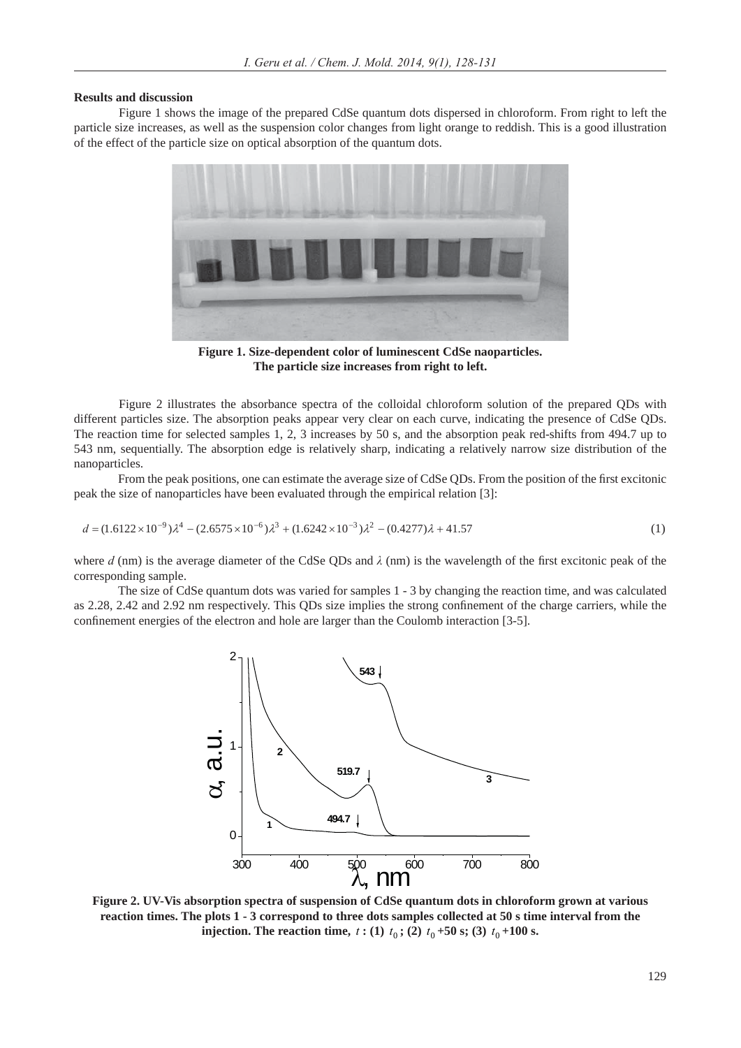#### **Results and discussion**

Figure 1 shows the image of the prepared CdSe quantum dots dispersed in chloroform. From right to left the particle size increases, as well as the suspension color changes from light orange to reddish. This is a good illustration of the effect of the particle size on optical absorption of the quantum dots.



**Figure 1. Size-dependent color of luminescent CdSe naoparticles. The particle size increases from right to left.**

Figure 2 illustrates the absorbance spectra of the colloidal chloroform solution of the prepared QDs with different particles size. The absorption peaks appear very clear on each curve, indicating the presence of CdSe QDs. The reaction time for selected samples 1, 2, 3 increases by 50 s, and the absorption peak red-shifts from 494.7 up to 543 nm, sequentially. The absorption edge is relatively sharp, indicating a relatively narrow size distribution of the nanoparticles.

From the peak positions, one can estimate the average size of CdSe QDs. From the position of the first excitonic peak the size of nanoparticles have been evaluated through the empirical relation [3]:

$$
d = (1.6122 \times 10^{-9}) \lambda^4 - (2.6575 \times 10^{-6}) \lambda^3 + (1.6242 \times 10^{-3}) \lambda^2 - (0.4277) \lambda + 41.57
$$
 (1)

where  $d$  (nm) is the average diameter of the CdSe QDs and  $\lambda$  (nm) is the wavelength of the first excitonic peak of the corresponding sample.

The size of CdSe quantum dots was varied for samples 1 - 3 by changing the reaction time, and was calculated as 2.28, 2.42 and 2.92 nm respectively. This QDs size implies the strong confinement of the charge carriers, while the confinement energies of the electron and hole are larger than the Coulomb interaction [3-5].



**Figure 2. UV-Vis absorption spectra of suspension of CdSe quantum dots in chloroform grown at various reaction times. The plots 1 - 3 correspond to three dots samples collected at 50 s time interval from the injection. The reaction time,**  $t:(1)$   $t_0$ ; (2)  $t_0+50$  s; (3)  $t_0+100$  s.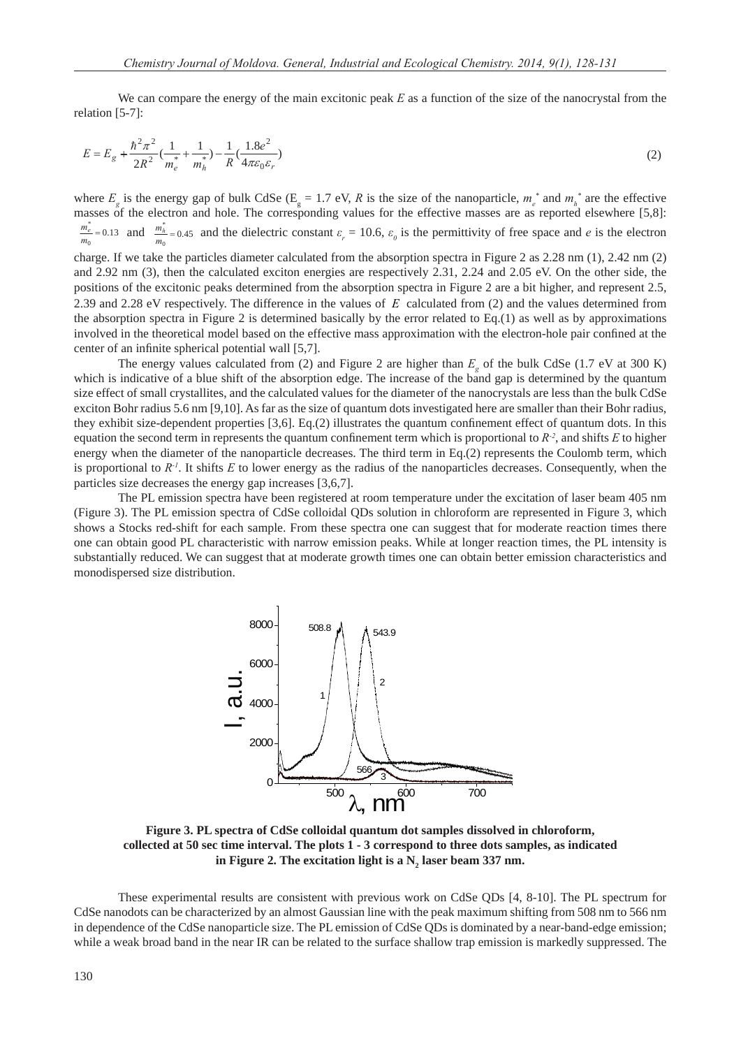We can compare the energy of the main excitonic peak *E* as a function of the size of the nanocrystal from the relation [5-7]:

$$
E = E_g + \frac{\hbar^2 \pi^2}{2R^2} \left( \frac{1}{m_e^*} + \frac{1}{m_h^*} \right) - \frac{1}{R} \left( \frac{1.8e^2}{4\pi \varepsilon_0 \varepsilon_r} \right) \tag{2}
$$

where  $E_g$  is the energy gap of bulk CdSe ( $E_g = 1.7$  eV, *R* is the size of the nanoparticle,  $m_e^*$  and  $m_h^*$  are the effective masses of the electron and hole. The corresponding values for the effective masses are as reported elsewhere [5,8]:  $\frac{e}{0} = 0.13$  $\frac{m_e^*}{m_0} = 0.13$  and  $\frac{m_h^*}{m_0} = 0.45$  $\frac{m_h^*}{m_0}$  = 0.45 and the dielectric constant  $\varepsilon_r$  = 10.6,  $\varepsilon_\theta$  is the permittivity of free space and *e* is the electron

charge. If we take the particles diameter calculated from the absorption spectra in Figure 2 as 2.28 nm (1), 2.42 nm (2) and 2.92 nm (3), then the calculated exciton energies are respectively 2.31, 2.24 and 2.05 eV. On the other side, the positions of the excitonic peaks determined from the absorption spectra in Figure 2 are a bit higher, and represent 2.5, 2.39 and 2.28 eV respectively. The difference in the values of *E* calculated from (2) and the values determined from the absorption spectra in Figure 2 is determined basically by the error related to Eq.(1) as well as by approximations involved in the theoretical model based on the effective mass approximation with the electron-hole pair confined at the center of an infinite spherical potential wall [5,7].

The energy values calculated from (2) and Figure 2 are higher than  $E<sub>g</sub>$  of the bulk CdSe (1.7 eV at 300 K) which is indicative of a blue shift of the absorption edge. The increase of the band gap is determined by the quantum size effect of small crystallites, and the calculated values for the diameter of the nanocrystals are less than the bulk CdSe exciton Bohr radius 5.6 nm [9,10]. As far as the size of quantum dots investigated here are smaller than their Bohr radius, they exhibit size-dependent properties  $[3,6]$ . Eq.(2) illustrates the quantum confinement effect of quantum dots. In this equation the second term in represents the quantum confinement term which is proportional to  $R<sup>2</sup>$ , and shifts *E* to higher energy when the diameter of the nanoparticle decreases. The third term in Eq.(2) represents the Coulomb term, which is proportional to  $R<sup>-1</sup>$ . It shifts  $E$  to lower energy as the radius of the nanoparticles decreases. Consequently, when the particles size decreases the energy gap increases [3,6,7].

The PL emission spectra have been registered at room temperature under the excitation of laser beam 405 nm (Figure 3). The PL emission spectra of CdSe colloidal QDs solution in chloroform are represented in Figure 3, which shows a Stocks red-shift for each sample. From these spectra one can suggest that for moderate reaction times there one can obtain good PL characteristic with narrow emission peaks. While at longer reaction times, the PL intensity is substantially reduced. We can suggest that at moderate growth times one can obtain better emission characteristics and monodispersed size distribution.



**Figure 3. PL spectra of CdSe colloidal quantum dot samples dissolved in chloroform, collected at 50 sec time interval. The plots 1 - 3 correspond to three dots samples, as indicated**  in Figure 2. The excitation light is a  $N_{2}$  laser beam 337 nm.

These experimental results are consistent with previous work on CdSe QDs [4, 8-10]. The PL spectrum for CdSe nanodots can be characterized by an almost Gaussian line with the peak maximum shifting from 508 nm to 566 nm in dependence of the CdSe nanoparticle size. The PL emission of CdSe QDs is dominated by a near-band-edge emission; while a weak broad band in the near IR can be related to the surface shallow trap emission is markedly suppressed. The